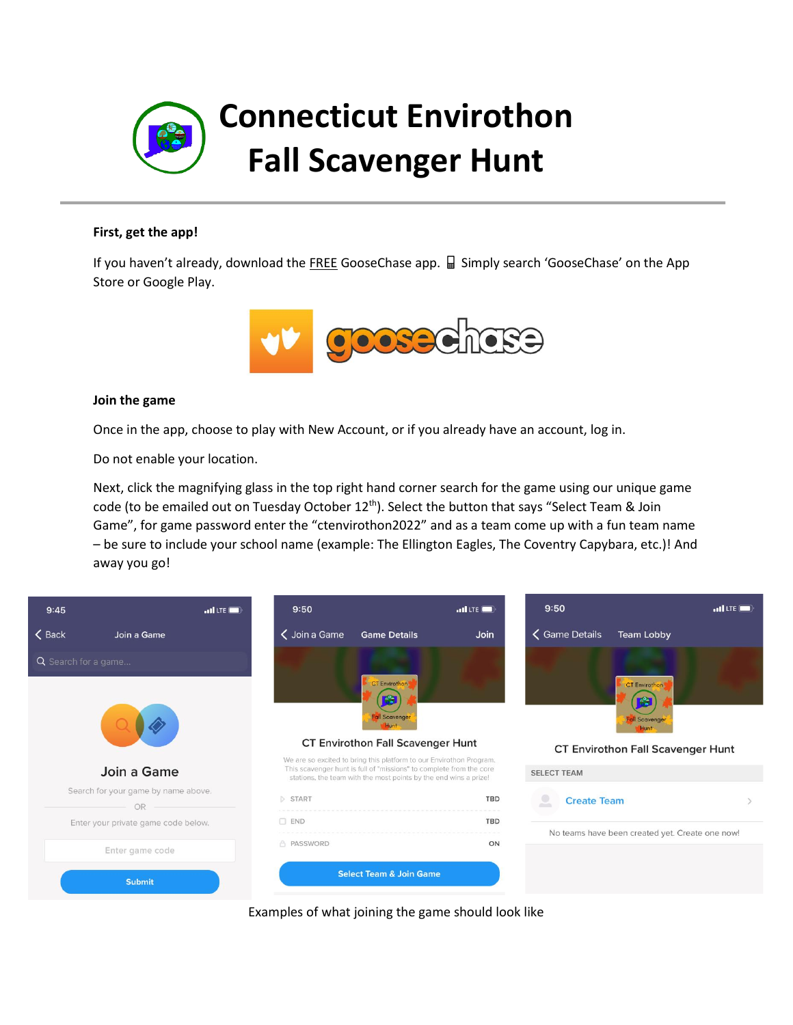

### **First, get the app!**

If you haven't already, download the FREE GooseChase app.  $\Box$  Simply search 'GooseChase' on the App Store or Google Play.



#### **Join the game**

Once in the app, choose to play with New Account, or if you already have an account, log in.

Do not enable your location.

Next, click the magnifying glass in the top right hand corner search for the game using our unique game code (to be emailed out on Tuesday October 12<sup>th</sup>). Select the button that says "Select Team & Join Game", for game password enter the "ctenvirothon2022" and as a team come up with a fun team name – be sure to include your school name (example: The Ellington Eagles, The Coventry Capybara, etc.)! And away you go!



Examples of what joining the game should look like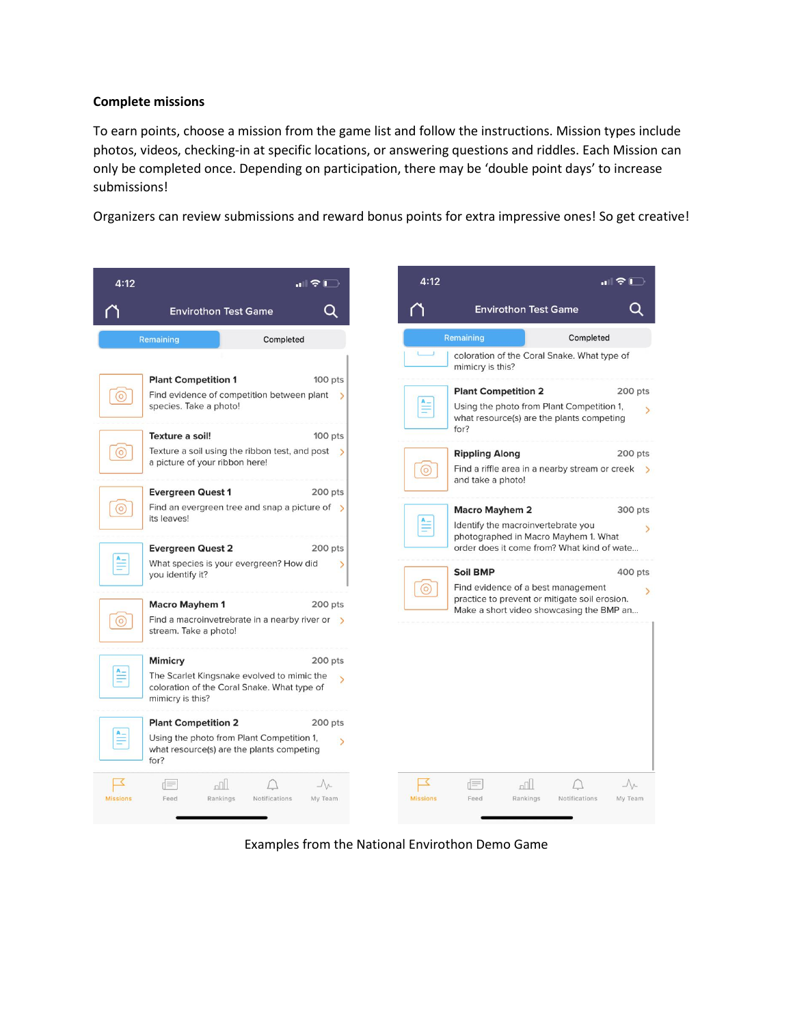# **Complete missions**

To earn points, choose a mission from the game list and follow the instructions. Mission types include photos, videos, checking-in at specific locations, or answering questions and riddles. Each Mission can only be completed once. Depending on participation, there may be 'double point days' to increase submissions!

Organizers can review submissions and reward bonus points for extra impressive ones! So get creative!

| 4:12                                                                                    |                                                                                                                              |               | <u>   승  </u>                       | 4:12                 |                                                                                                                       |                                                                                        |                                |
|-----------------------------------------------------------------------------------------|------------------------------------------------------------------------------------------------------------------------------|---------------|-------------------------------------|----------------------|-----------------------------------------------------------------------------------------------------------------------|----------------------------------------------------------------------------------------|--------------------------------|
|                                                                                         | <b>Envirothon Test Game</b>                                                                                                  |               |                                     |                      |                                                                                                                       | <b>Envirothon Test Game</b>                                                            |                                |
| Remaining<br>Completed                                                                  |                                                                                                                              |               |                                     | Remaining            | Completed                                                                                                             |                                                                                        |                                |
|                                                                                         |                                                                                                                              |               |                                     |                      | coloration of the Coral Snake. What type of<br>mimicry is this?                                                       |                                                                                        |                                |
|                                                                                         | <b>Plant Competition 1</b>                                                                                                   |               | 100 pts                             |                      | <b>Plant Competition 2</b>                                                                                            |                                                                                        | 200 pts                        |
| Find evidence of competition between plant $\rightarrow$<br>O<br>species. Take a photo! |                                                                                                                              |               |                                     |                      |                                                                                                                       | Using the photo from Plant Competition 1,<br>what resource(s) are the plants competing |                                |
|                                                                                         | Texture a soil!                                                                                                              |               | 100 pts                             |                      | for?                                                                                                                  |                                                                                        |                                |
| $\circ$                                                                                 | Texture a soil using the ribbon test, and post $\rightarrow$<br>a picture of your ribbon here!                               |               |                                     | $\circ)$             | <b>Rippling Along</b><br>200 pts<br>Find a riffle area in a nearby stream or creek $\rightarrow$<br>and take a photo! |                                                                                        |                                |
|                                                                                         | <b>Evergreen Quest 1</b>                                                                                                     |               | 200 pts                             |                      |                                                                                                                       |                                                                                        |                                |
| (o                                                                                      | Find an evergreen tree and snap a picture of $\rightarrow$<br>its leaves!                                                    |               |                                     |                      | <b>Macro Mayhem 2</b><br>Identify the macroinvertebrate you                                                           |                                                                                        | 300 pts                        |
|                                                                                         | <b>Evergreen Quest 2</b>                                                                                                     |               | 200 pts                             |                      | photographed in Macro Mayhem 1. What<br>order does it come from? What kind of wate                                    |                                                                                        |                                |
|                                                                                         | What species is your evergreen? How did<br>you identify it?                                                                  |               | $\overline{ }$                      | $\circledcirc$       | Soil BMP                                                                                                              | Find evidence of a best management                                                     |                                |
|                                                                                         | <b>Macro Mayhem 1</b>                                                                                                        |               | $200$ pts                           |                      |                                                                                                                       | practice to prevent or mitigate soil erosion.                                          |                                |
| (o                                                                                      | Find a macroinvet rebrate in a nearby river or $\rightarrow$<br>stream. Take a photo!                                        |               |                                     |                      | Make a short video showcasing the BMP an                                                                              |                                                                                        |                                |
|                                                                                         | <b>Mimicry</b>                                                                                                               |               | 200 pts                             |                      |                                                                                                                       |                                                                                        |                                |
|                                                                                         | The Scarlet Kingsnake evolved to mimic the<br>coloration of the Coral Snake. What type of<br>mimicry is this?                |               |                                     |                      |                                                                                                                       |                                                                                        |                                |
| $A_{-}$                                                                                 | <b>Plant Competition 2</b><br>Using the photo from Plant Competition 1,<br>what resource(s) are the plants competing<br>for? |               | 200 pts<br>$\overline{\phantom{0}}$ |                      |                                                                                                                       |                                                                                        |                                |
| <b>Missions</b>                                                                         | rl≡<br>n  <br>Feed<br>Rankings                                                                                               | Notifications | $\Lambda$<br>My Team                | ≤<br><b>Missions</b> | ď≡<br>Feed                                                                                                            | $n^{\text{max}}$<br>Rankings<br>Notifications                                          | $\Lambda_{\Lambda}$<br>My Team |

Examples from the National Envirothon Demo Game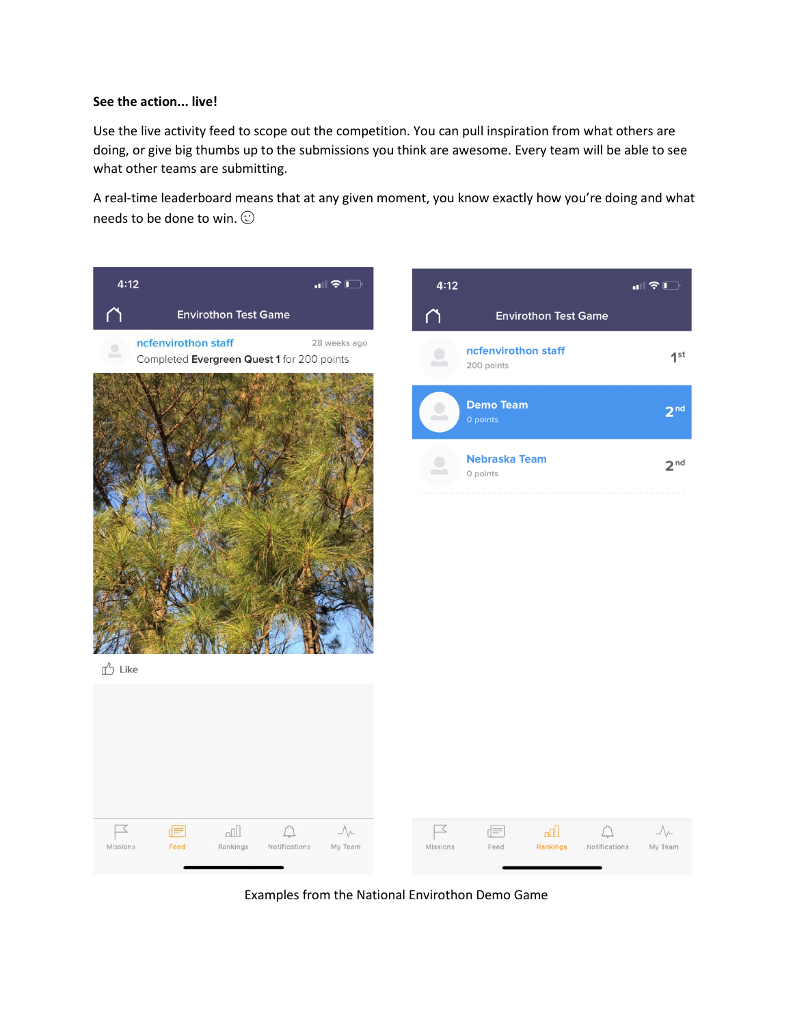# **See the action... live!**

Use the live activity feed to scope out the competition. You can pull inspiration from what others are doing, or give big thumbs up to the submissions you think are awesome. Every team will be able to see what other teams are submitting.

A real-time leaderboard means that at any given moment, you know exactly how you're doing and what needs to be done to win.  $\odot$ 



Examples from the National Envirothon Demo Game